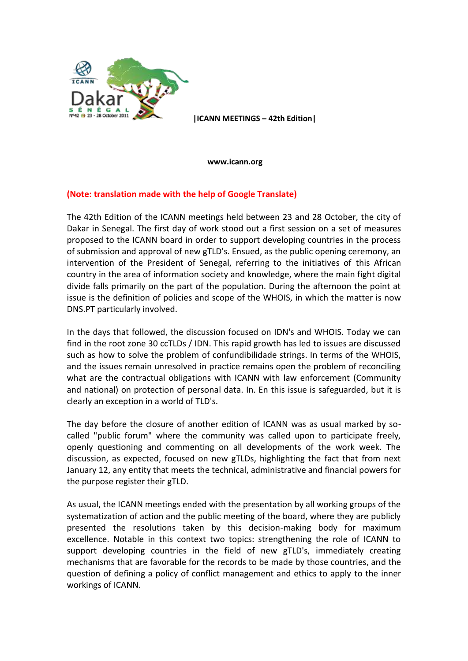

**|ICANN MEETINGS – 42th Edition|**

**www.icann.org**

## **(Note: translation made with the help of Google Translate)**

The 42th Edition of the ICANN meetings held between 23 and 28 October, the city of Dakar in Senegal. The first day of work stood out a first session on a set of measures proposed to the ICANN board in order to support developing countries in the process of submission and approval of new gTLD's. Ensued, as the public opening ceremony, an intervention of the President of Senegal, referring to the initiatives of this African country in the area of information society and knowledge, where the main fight digital divide falls primarily on the part of the population. During the afternoon the point at issue is the definition of policies and scope of the WHOIS, in which the matter is now DNS.PT particularly involved.

In the days that followed, the discussion focused on IDN's and WHOIS. Today we can find in the root zone 30 ccTLDs / IDN. This rapid growth has led to issues are discussed such as how to solve the problem of confundibilidade strings. In terms of the WHOIS, and the issues remain unresolved in practice remains open the problem of reconciling what are the contractual obligations with ICANN with law enforcement (Community and national) on protection of personal data. In. En this issue is safeguarded, but it is clearly an exception in a world of TLD's.

The day before the closure of another edition of ICANN was as usual marked by socalled "public forum" where the community was called upon to participate freely, openly questioning and commenting on all developments of the work week. The discussion, as expected, focused on new gTLDs, highlighting the fact that from next January 12, any entity that meets the technical, administrative and financial powers for the purpose register their gTLD.

As usual, the ICANN meetings ended with the presentation by all working groups of the systematization of action and the public meeting of the board, where they are publicly presented the resolutions taken by this decision-making body for maximum excellence. Notable in this context two topics: strengthening the role of ICANN to support developing countries in the field of new gTLD's, immediately creating mechanisms that are favorable for the records to be made by those countries, and the question of defining a policy of conflict management and ethics to apply to the inner workings of ICANN.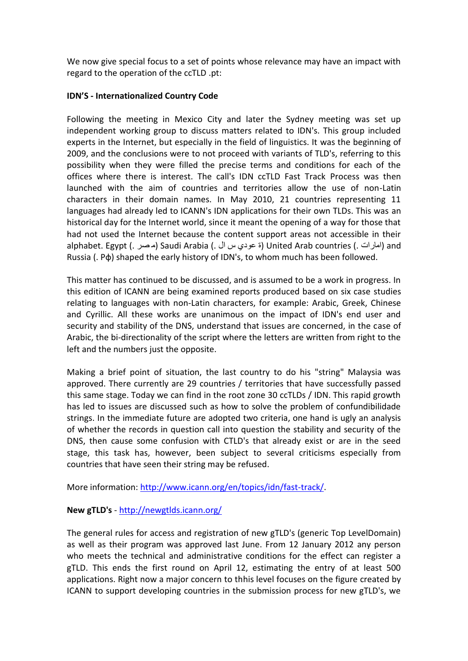We now give special focus to a set of points whose relevance may have an impact with regard to the operation of the ccTLD .pt:

## **IDN'S - Internationalized Country Code**

Following the meeting in Mexico City and later the Sydney meeting was set up independent working group to discuss matters related to IDN's. This group included experts in the Internet, but especially in the field of linguistics. It was the beginning of 2009, and the conclusions were to not proceed with variants of TLD's, referring to this possibility when they were filled the precise terms and conditions for each of the offices where there is interest. The call's IDN ccTLD Fast Track Process was then launched with the aim of countries and territories allow the use of non-Latin characters in their domain names. In May 2010, 21 countries representing 11 languages had already led to ICANN's IDN applications for their own TLDs. This was an historical day for the Internet world, since it meant the opening of a way for those that had not used the Internet because the content support areas not accessible in their alphabet. Egypt (. امارات ) Saudi Arabia (. مصر ) Saudi Arabia (. امارات ) and Russia (. Po) shaped the early history of IDN's, to whom much has been followed.

This matter has continued to be discussed, and is assumed to be a work in progress. In this edition of ICANN are being examined reports produced based on six case studies relating to languages with non-Latin characters, for example: Arabic, Greek, Chinese and Cyrillic. All these works are unanimous on the impact of IDN's end user and security and stability of the DNS, understand that issues are concerned, in the case of Arabic, the bi-directionality of the script where the letters are written from right to the left and the numbers just the opposite.

Making a brief point of situation, the last country to do his "string" Malaysia was approved. There currently are 29 countries / territories that have successfully passed this same stage. Today we can find in the root zone 30 ccTLDs / IDN. This rapid growth has led to issues are discussed such as how to solve the problem of confundibilidade strings. In the immediate future are adopted two criteria, one hand is ugly an analysis of whether the records in question call into question the stability and security of the DNS, then cause some confusion with CTLD's that already exist or are in the seed stage, this task has, however, been subject to several criticisms especially from countries that have seen their string may be refused.

More information: [http://www.icann.org/en/topics/idn/fast-track/.](http://www.icann.org/en/topics/idn/fast-track/)

## **New gTLD's** - <http://newgtlds.icann.org/>

The general rules for access and registration of new gTLD's (generic Top LevelDomain) as well as their program was approved last June. From 12 January 2012 any person who meets the technical and administrative conditions for the effect can register a gTLD. This ends the first round on April 12, estimating the entry of at least 500 applications. Right now a major concern to thhis level focuses on the figure created by ICANN to support developing countries in the submission process for new gTLD's, we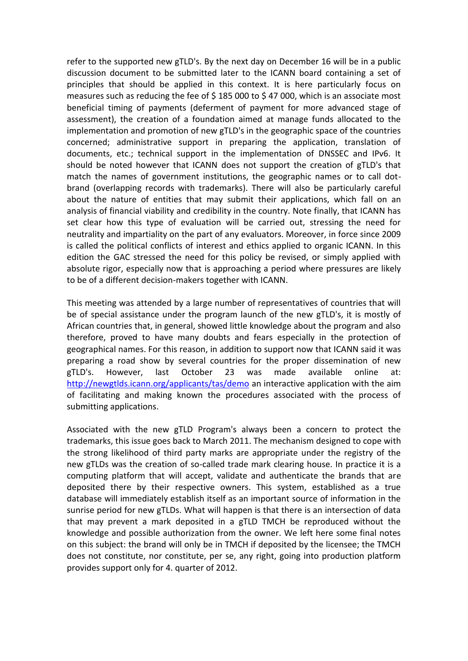refer to the supported new gTLD's. By the next day on December 16 will be in a public discussion document to be submitted later to the ICANN board containing a set of principles that should be applied in this context. It is here particularly focus on measures such as reducing the fee of  $\frac{2}{3}$  185 000 to  $\frac{2}{3}$  47 000, which is an associate most beneficial timing of payments (deferment of payment for more advanced stage of assessment), the creation of a foundation aimed at manage funds allocated to the implementation and promotion of new gTLD's in the geographic space of the countries concerned; administrative support in preparing the application, translation of documents, etc.; technical support in the implementation of DNSSEC and IPv6. It should be noted however that ICANN does not support the creation of gTLD's that match the names of government institutions, the geographic names or to call dotbrand (overlapping records with trademarks). There will also be particularly careful about the nature of entities that may submit their applications, which fall on an analysis of financial viability and credibility in the country. Note finally, that ICANN has set clear how this type of evaluation will be carried out, stressing the need for neutrality and impartiality on the part of any evaluators. Moreover, in force since 2009 is called the political conflicts of interest and ethics applied to organic ICANN. In this edition the GAC stressed the need for this policy be revised, or simply applied with absolute rigor, especially now that is approaching a period where pressures are likely to be of a different decision-makers together with ICANN.

This meeting was attended by a large number of representatives of countries that will be of special assistance under the program launch of the new gTLD's, it is mostly of African countries that, in general, showed little knowledge about the program and also therefore, proved to have many doubts and fears especially in the protection of geographical names. For this reason, in addition to support now that ICANN said it was preparing a road show by several countries for the proper dissemination of new gTLD's. However, last October 23 was made available online at: <http://newgtlds.icann.org/applicants/tas/demo> an interactive application with the aim of facilitating and making known the procedures associated with the process of submitting applications.

Associated with the new gTLD Program's always been a concern to protect the trademarks, this issue goes back to March 2011. The mechanism designed to cope with the strong likelihood of third party marks are appropriate under the registry of the new gTLDs was the creation of so-called trade mark clearing house. In practice it is a computing platform that will accept, validate and authenticate the brands that are deposited there by their respective owners. This system, established as a true database will immediately establish itself as an important source of information in the sunrise period for new gTLDs. What will happen is that there is an intersection of data that may prevent a mark deposited in a gTLD TMCH be reproduced without the knowledge and possible authorization from the owner. We left here some final notes on this subject: the brand will only be in TMCH if deposited by the licensee; the TMCH does not constitute, nor constitute, per se, any right, going into production platform provides support only for 4. quarter of 2012.